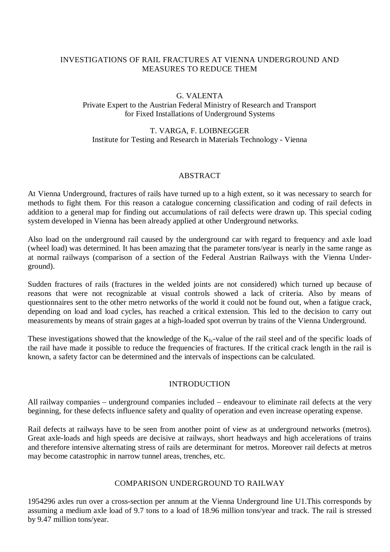### INVESTIGATIONS OF RAIL FRACTURES AT VIENNA UNDERGROUND AND MEASURES TO REDUCE THEM

### G. VALENTA

Private Expert to the Austrian Federal Ministry of Research and Transport for Fixed Installations of Underground Systems

### T. VARGA, F. LOIBNEGGER Institute for Testing and Research in Materials Technology - Vienna

#### ABSTRACT

At Vienna Underground, fractures of rails have turned up to a high extent, so it was necessary to search for methods to fight them. For this reason a catalogue concerning classification and coding of rail defects in addition to a general map for finding out accumulations of rail defects were drawn up. This special coding system developed in Vienna has been already applied at other Underground networks.

Also load on the underground rail caused by the underground car with regard to frequency and axle load (wheel load) was determined. It has been amazing that the parameter tons/year is nearly in the same range as at normal railways (comparison of a section of the Federal Austrian Railways with the Vienna Underground).

Sudden fractures of rails (fractures in the welded joints are not considered) which turned up because of reasons that were not recognizable at visual controls showed a lack of criteria. Also by means of questionnaires sent to the other metro networks of the world it could not be found out, when a fatigue crack, depending on load and load cycles, has reached a critical extension. This led to the decision to carry out measurements by means of strain gages at a high-loaded spot overrun by trains of the Vienna Underground.

These investigations showed that the knowledge of the  $K_{Ic}$ -value of the rail steel and of the specific loads of the rail have made it possible to reduce the frequencies of fractures. If the critical crack length in the rail is known, a safety factor can be determined and the intervals of inspections can be calculated.

#### INTRODUCTION

All railway companies – underground companies included – endeavour to eliminate rail defects at the very beginning, for these defects influence safety and quality of operation and even increase operating expense.

Rail defects at railways have to be seen from another point of view as at underground networks (metros). Great axle-loads and high speeds are decisive at railways, short headways and high accelerations of trains and therefore intensive alternating stress of rails are determinant for metros. Moreover rail defects at metros may become catastrophic in narrow tunnel areas, trenches, etc.

#### COMPARISON UNDERGROUND TO RAILWAY

1954296 axles run over a cross-section per annum at the Vienna Underground line U1.This corresponds by assuming a medium axle load of 9.7 tons to a load of 18.96 million tons/year and track. The rail is stressed by 9.47 million tons/year.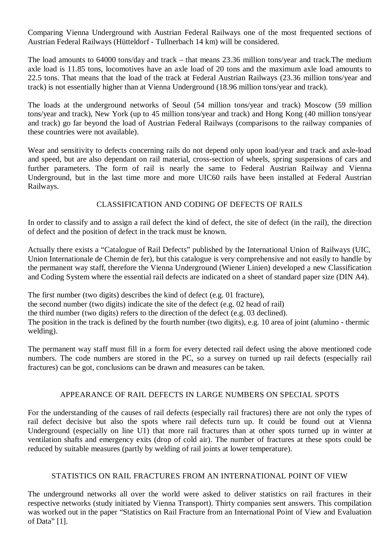Comparing Vienna Underground with Austrian Federal Railways one of the most frequented sections of Austrian Federal Railways (Hütteldorf - Tullnerbach 14 km) will be considered.

The load amounts to 64000 tons/day and track – that means 23.36 million tons/year and track.The medium axle load is 11.85 tons, locomotives have an axle load of 20 tons and the maximum axle load amounts to 22.5 tons. That means that the load of the track at Federal Austrian Railways (23.36 million tons/year and track) is not essentially higher than at Vienna Underground (18.96 million tons/year and track).

The loads at the underground networks of Seoul (54 million tons/year and track) Moscow (59 million tons/year and track), New York (up to 45 million tons/year and track) and Hong Kong (40 million tons/year and track) go far beyond the load of Austrian Federal Railways (comparisons to the railway companies of these countries were not available).

Wear and sensitivity to defects concerning rails do not depend only upon load/year and track and axle-load and speed, but are also dependant on rail material, cross-section of wheels, spring suspensions of cars and further parameters. The form of rail is nearly the same to Federal Austrian Railway and Vienna Underground, but in the last time more and more UIC60 rails have been installed at Federal Austrian Railways.

# CLASSIFICATION AND CODING OF DEFECTS OF RAILS

In order to classify and to assign a rail defect the kind of defect, the site of defect (in the rail), the direction of defect and the position of defect in the track must be known.

Actually there exists a "Catalogue of Rail Defects" published by the International Union of Railways (UIC, Union Internationale de Chemin de fer), but this catalogue is very comprehensive and not easily to handle by the permanent way staff, therefore the Vienna Underground (Wiener Linien) developed a new Classification and Coding System where the essential rail defects are indicated on a sheet of standard paper size (DIN A4).

The first number (two digits) describes the kind of defect (e.g. 01 fracture), the second number (two digits) indicate the site of the defect (e.g. 02 head of rail) the third number (two digits) refers to the direction of the defect (e.g. 03 declined).

The position in the track is defined by the fourth number (two digits), e.g. 10 area of joint (alumino - thermic welding).

The permanent way staff must fill in a form for every detected rail defect using the above mentioned code numbers. The code numbers are stored in the PC, so a survey on turned up rail defects (especially rail fractures) can be got, conclusions can be drawn and measures can be taken.

# APPEARANCE OF RAIL DEFECTS IN LARGE NUMBERS ON SPECIAL SPOTS

For the understanding of the causes of rail defects (especially rail fractures) there are not only the types of rail defect decisive but also the spots where rail defects turn up. It could be found out at Vienna Underground (especially on line U1) that more rail fractures than at other spots turned up in winter at ventilation shafts and emergency exits (drop of cold air). The number of fractures at these spots could be reduced by suitable measures (partly by welding of rail joints at lower temperature).

### STATISTICS ON RAIL FRACTURES FROM AN INTERNATIONAL POINT OF VIEW

The underground networks all over the world were asked to deliver statistics on rail fractures in their respective networks (study initiated by Vienna Transport). Thirty companies sent answers. This compilation was worked out in the paper "Statistics on Rail Fracture from an International Point of View and Evaluation of Data" [1].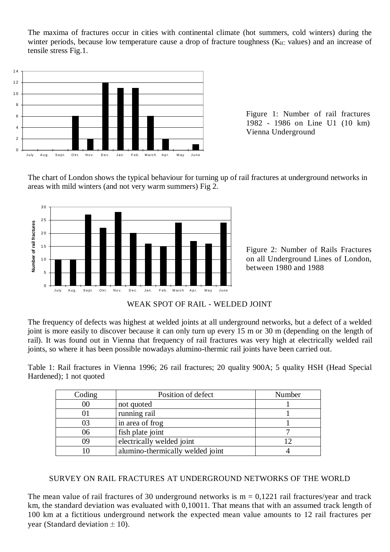The maxima of fractures occur in cities with continental climate (hot summers, cold winters) during the winter periods, because low temperature cause a drop of fracture toughness  $(K_{IC})$  values) and an increase of tensile stress Fig.1.



Figure 1: Number of rail fractures 1982 - 1986 on Line U1 (10 km) Vienna Underground

The chart of London shows the typical behaviour for turning up of rail fractures at underground networks in areas with mild winters (and not very warm summers) Fig 2.



Figure 2: Number of Rails Fractures on all Underground Lines of London, between 1980 and 1988

WEAK SPOT OF RAIL - WELDED JOINT

The frequency of defects was highest at welded joints at all underground networks, but a defect of a welded joint is more easily to discover because it can only turn up every 15 m or 30 m (depending on the length of rail). It was found out in Vienna that frequency of rail fractures was very high at electrically welded rail joints, so where it has been possible nowadays alumino-thermic rail joints have been carried out.

Table 1: Rail fractures in Vienna 1996; 26 rail fractures; 20 quality 900A; 5 quality HSH (Head Special Hardened); 1 not quoted

| Coding | Position of defect               | Number |
|--------|----------------------------------|--------|
| $00\,$ | not quoted                       |        |
| UΙ     | running rail                     |        |
| 03     | in area of frog                  |        |
| 06     | fish plate joint                 |        |
| 09     | electrically welded joint        |        |
| 10     | alumino-thermically welded joint |        |

# SURVEY ON RAIL FRACTURES AT UNDERGROUND NETWORKS OF THE WORLD

The mean value of rail fractures of 30 underground networks is  $m = 0,1221$  rail fractures/year and track km, the standard deviation was evaluated with 0,10011. That means that with an assumed track length of 100 km at a fictitious underground network the expected mean value amounts to 12 rail fractures per year (Standard deviation  $\pm$  10).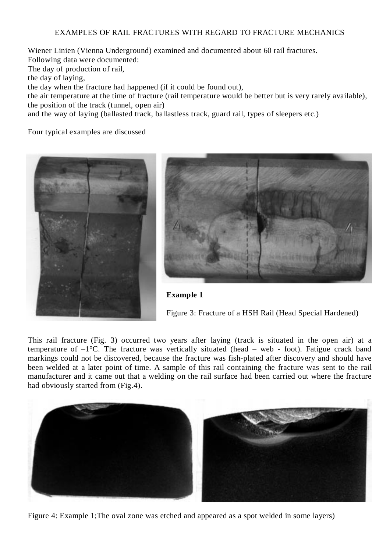#### EXAMPLES OF RAIL FRACTURES WITH REGARD TO FRACTURE MECHANICS

Wiener Linien (Vienna Underground) examined and documented about 60 rail fractures. Following data were documented: The day of production of rail, the day of laying, the day when the fracture had happened (if it could be found out), the air temperature at the time of fracture (rail temperature would be better but is very rarely available), the position of the track (tunnel, open air)

and the way of laying (ballasted track, ballastless track, guard rail, types of sleepers etc.)

Four typical examples are discussed





**Example 1**

Figure 3: Fracture of a HSH Rail (Head Special Hardened)

This rail fracture (Fig. 3) occurred two years after laying (track is situated in the open air) at a temperature of  $-1$ °C. The fracture was vertically situated (head – web - foot). Fatigue crack band markings could not be discovered, because the fracture was fish-plated after discovery and should have been welded at a later point of time. A sample of this rail containing the fracture was sent to the rail manufacturer and it came out that a welding on the rail surface had been carried out where the fracture had obviously started from (Fig.4).



Figure 4: Example 1;The oval zone was etched and appeared as a spot welded in some layers)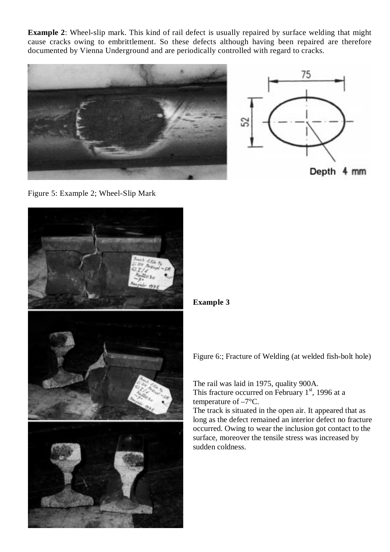**Example 2**: Wheel-slip mark. This kind of rail defect is usually repaired by surface welding that might cause cracks owing to embrittlement. So these defects although having been repaired are therefore documented by Vienna Underground and are periodically controlled with regard to cracks.



Figure 5: Example 2; Wheel-Slip Mark



# **Example 3**

Figure 6:; Fracture of Welding (at welded fish-bolt hole)

The rail was laid in 1975, quality 900A. This fracture occurred on February  $1<sup>st</sup>$ , 1996 at a temperature of –7°C.

The track is situated in the open air. It appeared that as long as the defect remained an interior defect no fracture occurred. Owing to wear the inclusion got contact to the surface, moreover the tensile stress was increased by sudden coldness.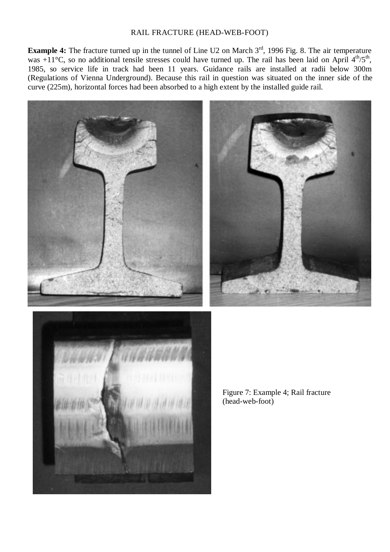### RAIL FRACTURE (HEAD-WEB-FOOT)

**Example 4:** The fracture turned up in the tunnel of Line U2 on March 3<sup>rd</sup>, 1996 Fig. 8. The air temperature was  $+11^{\circ}$ C, so no additional tensile stresses could have turned up. The rail has been laid on April  $4^{\text{th}}/5^{\text{th}}$ , 1985, so service life in track had been 11 years. Guidance rails are installed at radii below 300m (Regulations of Vienna Underground). Because this rail in question was situated on the inner side of the curve (225m), horizontal forces had been absorbed to a high extent by the installed guide rail.





Figure 7: Example 4; Rail fracture (head-web-foot)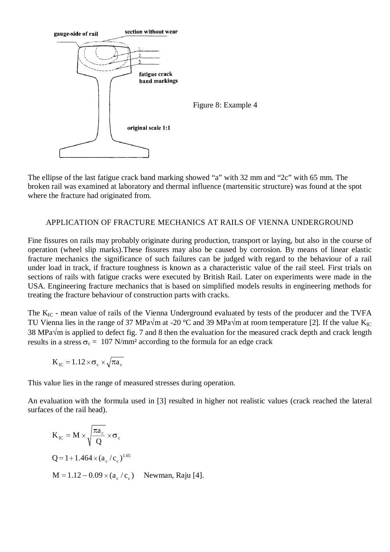

The ellipse of the last fatigue crack band marking showed "a" with 32 mm and "2c" with 65 mm. The broken rail was examined at laboratory and thermal influence (martensitic structure) was found at the spot where the fracture had originated from.

### APPLICATION OF FRACTURE MECHANICS AT RAILS OF VIENNA UNDERGROUND

Fine fissures on rails may probably originate during production, transport or laying, but also in the course of operation (wheel slip marks).These fissures may also be caused by corrosion. By means of linear elastic fracture mechanics the significance of such failures can be judged with regard to the behaviour of a rail under load in track, if fracture toughness is known as a characteristic value of the rail steel. First trials on sections of rails with fatigue cracks were executed by British Rail. Later on experiments were made in the USA. Engineering fracture mechanics that is based on simplified models results in engineering methods for treating the fracture behaviour of construction parts with cracks.

The K<sub>IC</sub> - mean value of rails of the Vienna Underground evaluated by tests of the producer and the TVFA TU Vienna lies in the range of 37 MPa $\sqrt{m}$  at -20 °C and 39 MPa $\sqrt{m}$  at room temperature [2]. If the value K<sub>IC</sub> 38 MPa $\sqrt{m}$  is applied to defect fig. 7 and 8 then the evaluation for the measured crack depth and crack length results in a stress  $\sigma_c = 107$  N/mm<sup>2</sup> according to the formula for an edge crack

$$
K_{\rm IC} = 1.12 \times \sigma_{\rm c} \times \sqrt{\pi a_{\rm c}}
$$

This value lies in the range of measured stresses during operation.

An evaluation with the formula used in [3] resulted in higher not realistic values (crack reached the lateral surfaces of the rail head).

$$
K_{\rm IC} = M \times \sqrt{\frac{\pi a_{\rm c}}{Q}} \times \sigma_{\rm c}
$$
  
Q = 1 + 1.464 × (a\_{\rm c}/c\_{\rm c})<sup>1.65</sup>  
M = 1.12 - 0.09 × (a\_{\rm c}/c\_{\rm c}) \quad \text{Newtonan, Raju [4].}